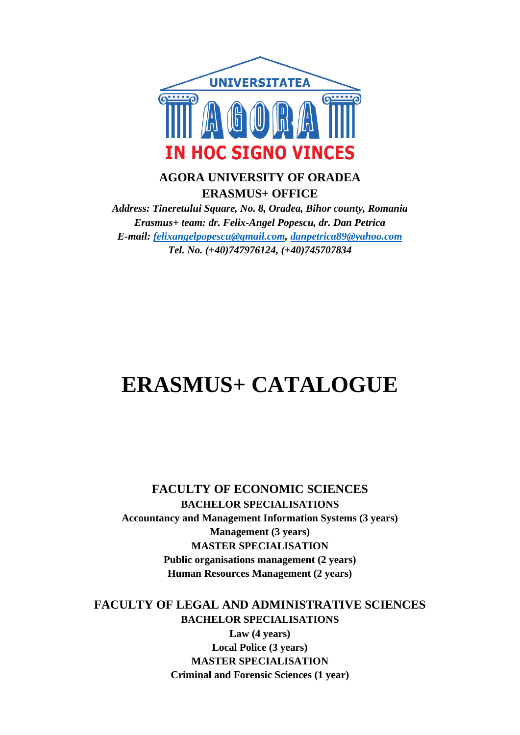

## **AGORA UNIVERSITY OF ORADEA ERASMUS+ OFFICE**

*Address: Tineretului Square, No. 8, Oradea, Bihor county, Romania Erasmus+ team: dr. Felix-Angel Popescu, dr. Dan Petrica E-mail: [felixangelpopescu@gmail.com,](mailto:felixangelpopescu@gmail.com) [danpetrica89@yahoo.com](mailto:danpetrica89@yahoo.com) Tel. No. (+40)747976124, (+40)745707834*

# **ERASMUS+ CATALOGUE**

**FACULTY OF ECONOMIC SCIENCES BACHELOR SPECIALISATIONS Accountancy and Management Information Systems (3 years) Management (3 years) MASTER SPECIALISATION Public organisations management (2 years) Human Resources Management (2 years)**

**FACULTY OF LEGAL AND ADMINISTRATIVE SCIENCES BACHELOR SPECIALISATIONS Law (4 years) Local Police (3 years) MASTER SPECIALISATION Criminal and Forensic Sciences (1 year)**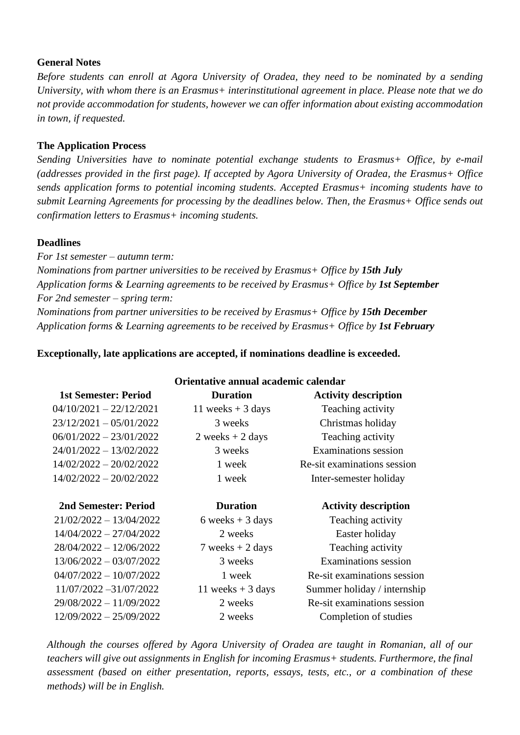## **General Notes**

*Before students can enroll at Agora University of Oradea, they need to be nominated by a sending University, with whom there is an Erasmus+ interinstitutional agreement in place. Please note that we do not provide accommodation for students, however we can offer information about existing accommodation in town, if requested.* 

## **The Application Process**

*Sending Universities have to nominate potential exchange students to Erasmus+ Office, by e-mail (addresses provided in the first page). If accepted by Agora University of Oradea, the Erasmus+ Office sends application forms to potential incoming students. Accepted Erasmus+ incoming students have to submit Learning Agreements for processing by the deadlines below. Then, the Erasmus+ Office sends out confirmation letters to Erasmus+ incoming students.*

## **Deadlines**

*For 1st semester – autumn term: Nominations from partner universities to be received by Erasmus+ Office by 15th July Application forms & Learning agreements to be received by Erasmus+ Office by 1st September For 2nd semester – spring term: Nominations from partner universities to be received by Erasmus+ Office by 15th December Application forms & Learning agreements to be received by Erasmus+ Office by 1st February*

## **Exceptionally, late applications are accepted, if nominations deadline is exceeded.**

| Orientative annual academic calendar |                     |                             |
|--------------------------------------|---------------------|-----------------------------|
| <b>1st Semester: Period</b>          | <b>Duration</b>     | <b>Activity description</b> |
| $04/10/2021 - 22/12/2021$            | 11 weeks $+$ 3 days | Teaching activity           |
| $23/12/2021 - 05/01/2022$            | 3 weeks             | Christmas holiday           |
| $06/01/2022 - 23/01/2022$            | $2 weeks + 2 days$  | Teaching activity           |
| $24/01/2022 - 13/02/2022$            | 3 weeks             | Examinations session        |
| $14/02/2022 - 20/02/2022$            | 1 week              | Re-sit examinations session |
| $14/02/2022 - 20/02/2022$            | 1 week              | Inter-semester holiday      |
| 2nd Semester: Period                 | <b>Duration</b>     | <b>Activity description</b> |
| 21/02/2022 - 13/04/2022              | 6 weeks $+3$ days   | Teaching activity           |
| $14/04/2022 - 27/04/2022$            | 2 weeks             | Easter holiday              |
| 28/04/2022 - 12/06/2022              | 7 weeks $+2$ days   | Teaching activity           |
| $13/06/2022 - 03/07/2022$            | 3 weeks             | Examinations session        |
| $04/07/2022 - 10/07/2022$            | 1 week              | Re-sit examinations session |
| 11/07/2022 -31/07/2022               | 11 weeks $+$ 3 days | Summer holiday / internship |
| 29/08/2022 - 11/09/2022              | 2 weeks             | Re-sit examinations session |
| $12/09/2022 - 25/09/2022$            | 2 weeks             | Completion of studies       |

*Although the courses offered by Agora University of Oradea are taught in Romanian, all of our teachers will give out assignments in English for incoming Erasmus+ students. Furthermore, the final assessment (based on either presentation, reports, essays, tests, etc., or a combination of these methods) will be in English.*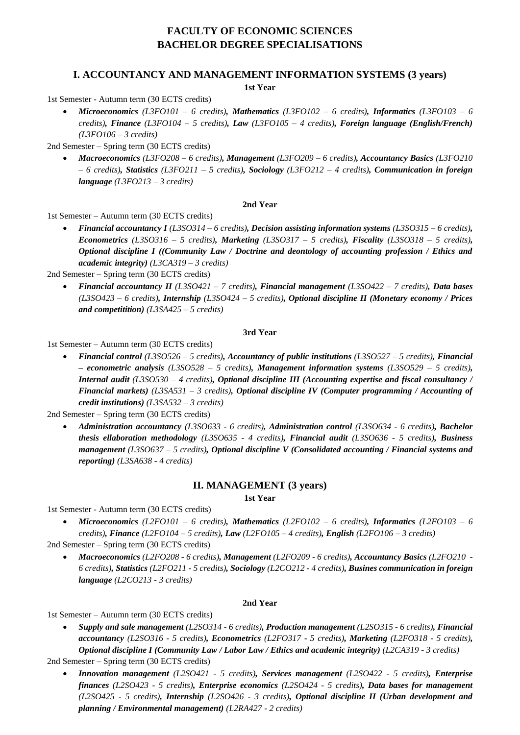## **FACULTY OF ECONOMIC SCIENCES BACHELOR DEGREE SPECIALISATIONS**

## **I. ACCOUNTANCY AND MANAGEMENT INFORMATION SYSTEMS (3 years)**

**1st Year**

1st Semester - Autumn term (30 ECTS credits)

• *Microeconomics (L3FO101 – 6 credits), Mathematics (L3FO102 – 6 credits), Informatics (L3FO103 – 6 credits), Finance (L3FO104 – 5 credits), Law (L3FO105 – 4 credits), Foreign language (English/French) (L3FO106 – 3 credits)*

2nd Semester – Spring term (30 ECTS credits)

• *Macroeconomics (L3FO208 – 6 credits), Management (L3FO209 – 6 credits), Accountancy Basics (L3FO210 – 6 credits), Statistics (L3FO211 – 5 credits), Sociology (L3FO212 – 4 credits), Communication in foreign language (L3FO213 – 3 credits)*

#### **2nd Year**

1st Semester – Autumn term (30 ECTS credits)

• *Financial accountancy I (L3SO314 – 6 credits), Decision assisting information systems (L3SO315 – 6 credits), Econometrics (L3SO316 – 5 credits), Marketing (L3SO317 – 5 credits), Fiscality (L3SO318 – 5 credits), Optional discipline I ((Community Law / Doctrine and deontology of accounting profession / Ethics and academic integrity) (L3CA319 – 3 credits)*

2nd Semester – Spring term (30 ECTS credits)

• *Financial accountancy II (L3SO421 – 7 credits), Financial management (L3SO422 – 7 credits), Data bases (L3SO423 – 6 credits), Internship (L3SO424 – 5 credits), Optional discipline II (Monetary economy / Prices and competitition) (L3SA425 – 5 credits)*

#### **3rd Year**

1st Semester – Autumn term (30 ECTS credits)

• *Financial control (L3SO526 – 5 credits), Accountancy of public institutions (L3SO527 – 5 credits), Financial – econometric analysis (L3SO528 – 5 credits), Management information systems (L3SO529 – 5 credits), Internal audit (L3SO530 – 4 credits), Optional discipline III (Accounting expertise and fiscal consultancy / Financial markets) (L3SA531 – 3 credits), Optional discipline IV (Computer programming / Accounting of credit institutions) (L3SA532 – 3 credits)*

2nd Semester – Spring term (30 ECTS credits)

• *Administration accountancy (L3SO633 - 6 credits), Administration control (L3SO634 - 6 credits), Bachelor thesis ellaboration methodology (L3SO635 - 4 credits), Financial audit (L3SO636 - 5 credits), Business management (L3SO637 – 5 credits), Optional discipline V (Consolidated accounting / Financial systems and reporting) (L3SA638 - 4 credits)*

#### **II. MANAGEMENT (3 years)**

**1st Year** 

1st Semester - Autumn term (30 ECTS credits)

• *Microeconomics (L2FO101 – 6 credits), Mathematics (L2FO102 – 6 credits), Informatics (L2FO103 – 6 credits), Finance (L2FO104 – 5 credits), Law (L2FO105 – 4 credits), English (L2FO106 – 3 credits)*

2nd Semester – Spring term (30 ECTS credits)

• *Macroeconomics (L2FO208 - 6 credits), Management (L2FO209 - 6 credits), Accountancy Basics (L2FO210 - 6 credits), Statistics (L2FO211 - 5 credits), Sociology (L2CO212 - 4 credits), Busines communication in foreign language (L2CO213 - 3 credits)*

#### **2nd Year**

1st Semester – Autumn term (30 ECTS credits)

• *Supply and sale management (L2SO314 - 6 credits), Production management (L2SO315 - 6 credits), Financial accountancy (L2SO316 - 5 credits), Econometrics (L2FO317 - 5 credits), Marketing (L2FO318 - 5 credits), Optional discipline I (Community Law / Labor Law / Ethics and academic integrity) (L2CA319 - 3 credits)*

2nd Semester – Spring term (30 ECTS credits)

• *Innovation management (L2SO421 - 5 credits), Services management (L2SO422 - 5 credits), Enterprise finances (L2SO423 - 5 credits), Enterprise economics (L2SO424 - 5 credits), Data bases for management (L2SO425 - 5 credits), Internship (L2SO426 - 3 credits), Optional discipline II (Urban development and planning / Environmental management) (L2RA427 - 2 credits)*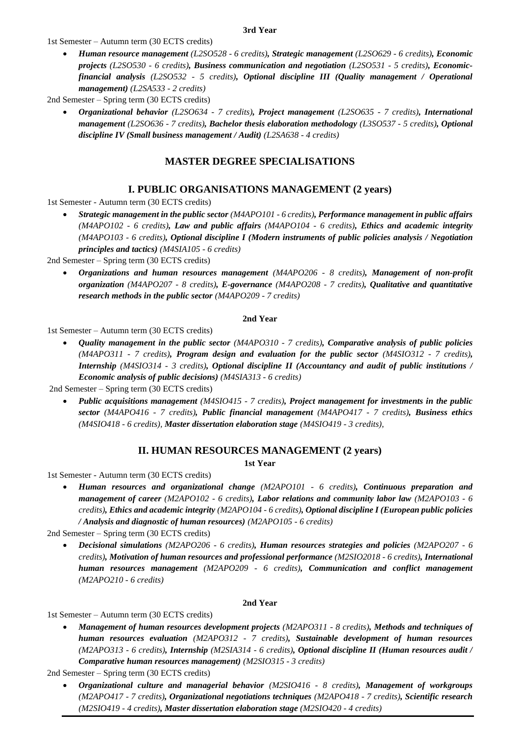#### **3rd Year**

1st Semester – Autumn term (30 ECTS credits)

• *Human resource management (L2SO528 - 6 credits), Strategic management (L2SO629 - 6 credits), Economic projects (L2SO530 - 6 credits), Business communication and negotiation (L2SO531 - 5 credits), Economicfinancial analysis (L2SO532 - 5 credits), Optional discipline III (Quality management / Operational management) (L2SA533 - 2 credits)*

2nd Semester – Spring term (30 ECTS credits)

• *Organizational behavior (L2SO634 - 7 credits), Project management (L2SO635 - 7 credits), International management (L2SO636 - 7 credits), Bachelor thesis elaboration methodology (L3SO537 - 5 credits), Optional discipline IV (Small business management / Audit) (L2SA638 - 4 credits)*

## **MASTER DEGREE SPECIALISATIONS**

## **I. PUBLIC ORGANISATIONS MANAGEMENT (2 years)**

1st Semester - Autumn term (30 ECTS credits)

• *Strategic management in the public sector (M4APO101 - 6 credits), Performance management in public affairs (M4APO102 - 6 credits), Law and public affairs (M4APO104 - 6 credits), Ethics and academic integrity (M4APO103 - 6 credits), Optional discipline I (Modern instruments of public policies analysis / Negotiation principles and tactics) (M4SIA105 - 6 credits)*

2nd Semester – Spring term (30 ECTS credits)

• *Organizations and human resources management (M4APO206 - 8 credits), Management of non-profit organization (M4APO207 - 8 credits), E-governance (M4APO208 - 7 credits), Qualitative and quantitative research methods in the public sector (M4APO209 - 7 credits)*

#### **2nd Year**

1st Semester – Autumn term (30 ECTS credits)

• *Quality management in the public sector (M4APO310 - 7 credits), Comparative analysis of public policies (M4APO311 - 7 credits), Program design and evaluation for the public sector (M4SIO312 - 7 credits), Internship (M4SIO314 - 3 credits), Optional discipline II (Accountancy and audit of public institutions / Economic analysis of public decisions) (M4SIA313 - 6 credits)*

2nd Semester – Spring term (30 ECTS credits)

• *Public acquisitions management (M4SIO415 - 7 credits), Project management for investments in the public sector (M4APO416 - 7 credits), Public financial management (M4APO417 - 7 credits), Business ethics (M4SIO418 - 6 credits), Master dissertation elaboration stage (M4SIO419 - 3 credits),*

#### **II. HUMAN RESOURCES MANAGEMENT (2 years)**

**1st Year** 

1st Semester - Autumn term (30 ECTS credits)

• *Human resources and organizational change (M2APO101 - 6 credits), Continuous preparation and management of career (M2APO102 - 6 credits), Labor relations and community labor law (M2APO103 - 6 credits), Ethics and academic integrity (M2APO104 - 6 credits), Optional discipline I (European public policies / Analysis and diagnostic of human resources) (M2APO105 - 6 credits)*

2nd Semester – Spring term (30 ECTS credits)

• *Decisional simulations (M2APO206 - 6 credits), Human resources strategies and policies (M2APO207 - 6 credits), Motivation of human resources and professional performance (M2SIO2018 - 6 credits), International human resources management (M2APO209 - 6 credits), Communication and conflict management (M2APO210 - 6 credits)*

#### **2nd Year**

1st Semester – Autumn term (30 ECTS credits)

• *Management of human resources development projects (M2APO311 - 8 credits), Methods and techniques of human resources evaluation (M2APO312 - 7 credits), Sustainable development of human resources (M2APO313 - 6 credits), Internship (M2SIA314 - 6 credits), Optional discipline II (Human resources audit / Comparative human resources management) (M2SIO315 - 3 credits)*

2nd Semester – Spring term (30 ECTS credits)

• *Organizational culture and managerial behavior (M2SIO416 - 8 credits), Management of workgroups (M2APO417 - 7 credits), Organizational negotiations techniques (M2APO418 - 7 credits), Scientific research (M2SIO419 - 4 credits), Master dissertation elaboration stage (M2SIO420 - 4 credits)*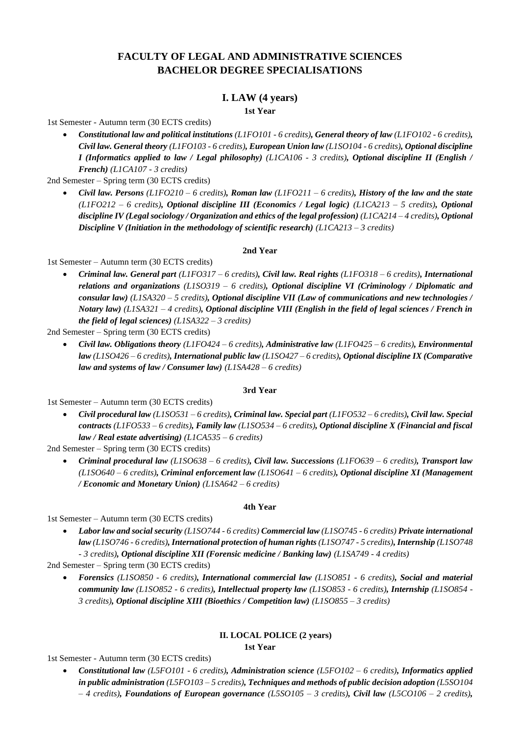## **FACULTY OF LEGAL AND ADMINISTRATIVE SCIENCES BACHELOR DEGREE SPECIALISATIONS**

## **I. LAW (4 years)**

**1st Year** 

1st Semester - Autumn term (30 ECTS credits)

• *Constitutional law and political institutions (L1FO101 - 6 credits), General theory of law (L1FO102 - 6 credits), Civil law. General theory (L1FO103 - 6 credits), European Union law (L1SO104 - 6 credits), Optional discipline I (Informatics applied to law / Legal philosophy) (L1CA106 - 3 credits), Optional discipline II (English / French) (L1CA107 - 3 credits)*

2nd Semester – Spring term (30 ECTS credits)

• *Civil law. Persons (L1FO210 – 6 credits), Roman law (L1FO211 – 6 credits), History of the law and the state (L1FO212 – 6 credits), Optional discipline III (Economics / Legal logic) (L1CA213 – 5 credits), Optional discipline IV (Legal sociology / Organization and ethics of the legal profession) (L1CA214 – 4 credits), Optional Discipline V (Initiation in the methodology of scientific research) (L1CA213 – 3 credits)*

#### **2nd Year**

1st Semester – Autumn term (30 ECTS credits)

• *Criminal law. General part (L1FO317 – 6 credits), Civil law. Real rights (L1FO318 – 6 credits), International relations and organizations (L1SO319 – 6 credits), Optional discipline VI (Criminology / Diplomatic and consular law) (L1SA320 – 5 credits), Optional discipline VII (Law of communications and new technologies / Notary law) (L1SA321 – 4 credits), Optional discipline VIII (English in the field of legal sciences / French in the field of legal sciences) (L1SA322 – 3 credits)*

2nd Semester – Spring term (30 ECTS credits)

• *Civil law. Obligations theory (L1FO424 – 6 credits), Administrative law (L1FO425 – 6 credits), Environmental law (L1SO426 – 6 credits), International public law (L1SO427 – 6 credits), Optional discipline IX (Comparative law and systems of law / Consumer law) (L1SA428 – 6 credits)*

#### **3rd Year**

1st Semester – Autumn term (30 ECTS credits)

• *Civil procedural law (L1SO531 – 6 credits), Criminal law. Special part (L1FO532 – 6 credits), Civil law. Special contracts (L1FO533 – 6 credits), Family law (L1SO534 – 6 credits), Optional discipline X (Financial and fiscal law / Real estate advertising) (L1CA535 – 6 credits)*

2nd Semester – Spring term (30 ECTS credits)

• *Criminal procedural law (L1SO638 – 6 credits), Civil law. Successions (L1FO639 – 6 credits), Transport law (L1SO640 – 6 credits), Criminal enforcement law (L1SO641 – 6 credits), Optional discipline XI (Management / Economic and Monetary Union) (L1SA642 – 6 credits)*

#### **4th Year**

1st Semester – Autumn term (30 ECTS credits)

• *Labor law and social security (L1SO744 - 6 credits) Commercial law (L1SO745 - 6 credits) Private international law (L1SO746 - 6 credits), International protection of human rights (L1SO747 - 5 credits), Internship (L1SO748 - 3 credits), Optional discipline XII (Forensic medicine / Banking law) (L1SA749 - 4 credits)*

2nd Semester – Spring term (30 ECTS credits)

• *Forensics (L1SO850 - 6 credits), International commercial law (L1SO851 - 6 credits), Social and material community law (L1SO852 - 6 credits), Intellectual property law (L1SO853 - 6 credits), Internship (L1SO854 - 3 credits), Optional discipline XIII (Bioethics / Competition law) (L1SO855 – 3 credits)*

#### **II. LOCAL POLICE (2 years)**

**1st Year** 

1st Semester - Autumn term (30 ECTS credits)

• *Constitutional law (L5FO101 - 6 credits), Administration science (L5FO102 – 6 credits), Informatics applied in public administration (L5FO103 – 5 credits), Techniques and methods of public decision adoption (L5SO104 – 4 credits), Foundations of European governance (L5SO105 – 3 credits), Civil law (L5CO106 – 2 credits),*